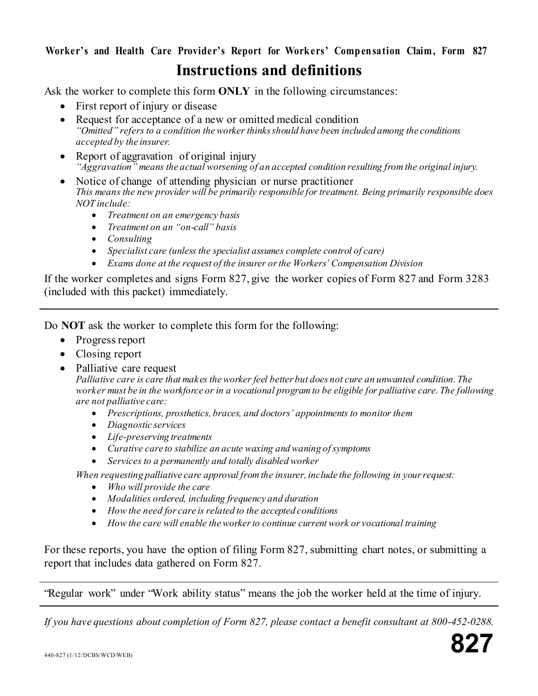# Worker's and Health Care Provider's Report for Workers' Compensation Claim, Form 827 **Instructions and definitions**

Ask the worker to complete this form **ONLY** in the following circumstances:

- First report of injury or disease
- Request for acceptance of a new or omitted medical condition *"Omitted" refers to a condition the worker thinks should have been included among the conditions accepted by the insurer.*
- Report of aggravation of original injury *"Aggravation" means the actual worsening of an accepted condition resulting from the original injury.*
- Notice of change of attending physician or nurse practitioner *This means the new provider will be primarily responsible for treatment. Being primarily responsible does NOT include:*
	- *Treatment on an emergency basis*
	- *Treatment on an "on-call" basis*
	- *Consulting*
	- *Specialist care (unless the specialist assumes complete control of care)*
	- *Exams done at the request of the insurer or the Workers' Compensation Division*

If the worker completes and signs Form 827, give the worker copies of Form 827 and Form 3283 (included with this packet) immediately.

Do **NOT** ask the worker to complete this form for the following:

- Progress report
- Closing report
- Palliative care request

*Palliative care is care that makes the worker feel better but does not cure an unwanted condition. The worker must be in the workforce or in a vocational program to be eligible for palliative care. The following are not palliative care:*

- *Prescriptions, prosthetics, braces, and doctors' appointments to monitor them*
- *Diagnostic services*
- *Life-preserving treatments*
- *Curative care to stabilize an acute waxing and waning of symptoms*
- *Services to a permanently and totally disabled worker*

*When requesting palliative care approval from the insurer, include the following in your request:*

- *Who will provide the care*
- *Modalities ordered, including frequency and duration*
- *How the need for care is related to the accepted conditions*
- *How the care will enable the worker to continue current work or vocational training*

For these reports, you have the option of filing Form 827, submitting chart notes, or submitting a report that includes data gathered on Form 827.

'Regular work" under 'Work ability status" means the job the worker held at the time of injury.

*If you have questions about completion of Form 827, please contact a benefit consultant at 800-452-0288.*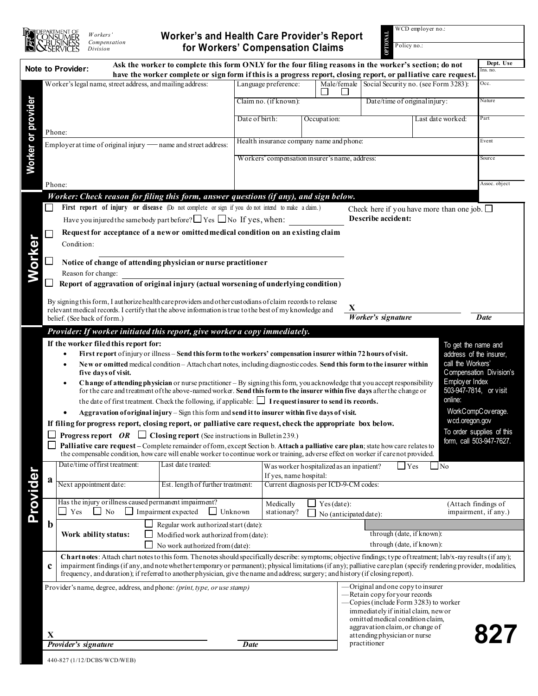

# **Worker's and Health Care Provider's Report for Workers' Compensation Claims**

WCD employer no.:

| WCD employer no.:<br><b>TRNOLL</b><br><b>Worker's and Health Care Provider's Report</b><br>Workers'<br>Compensation<br>Policy no.:<br>for Workers' Compensation Claims<br>Division                                                                              |                                                                |                                                                                                                                                                                                                                                                                                                                                                                                                                                                                                                                                                                                              |                                                                    |                                                |  |                                                                       |                                                                        |                                      |                                             |                   |  |
|-----------------------------------------------------------------------------------------------------------------------------------------------------------------------------------------------------------------------------------------------------------------|----------------------------------------------------------------|--------------------------------------------------------------------------------------------------------------------------------------------------------------------------------------------------------------------------------------------------------------------------------------------------------------------------------------------------------------------------------------------------------------------------------------------------------------------------------------------------------------------------------------------------------------------------------------------------------------|--------------------------------------------------------------------|------------------------------------------------|--|-----------------------------------------------------------------------|------------------------------------------------------------------------|--------------------------------------|---------------------------------------------|-------------------|--|
| Ask the worker to complete this form ONLY for the four filing reasons in the worker's section; do not<br><b>Note to Provider:</b><br>Ins. no.<br>have the worker complete or sign form if this is a progress report, closing report, or palliative care request |                                                                |                                                                                                                                                                                                                                                                                                                                                                                                                                                                                                                                                                                                              |                                                                    |                                                |  |                                                                       |                                                                        |                                      |                                             | Dept. Use         |  |
|                                                                                                                                                                                                                                                                 | Worker's legal name, street address, and mailing address:      |                                                                                                                                                                                                                                                                                                                                                                                                                                                                                                                                                                                                              |                                                                    | Language preference:                           |  | Male/female                                                           |                                                                        | Social Security no. (see Form 3283): |                                             | Occ.              |  |
|                                                                                                                                                                                                                                                                 |                                                                |                                                                                                                                                                                                                                                                                                                                                                                                                                                                                                                                                                                                              |                                                                    | Claim no. (if known):                          |  |                                                                       | Date/time of original injury:                                          |                                      |                                             | Nature            |  |
|                                                                                                                                                                                                                                                                 | Phone:                                                         |                                                                                                                                                                                                                                                                                                                                                                                                                                                                                                                                                                                                              |                                                                    | Date of birth:<br>Occupation:                  |  |                                                                       | Last date worked:                                                      |                                      |                                             | Part              |  |
|                                                                                                                                                                                                                                                                 |                                                                |                                                                                                                                                                                                                                                                                                                                                                                                                                                                                                                                                                                                              |                                                                    |                                                |  |                                                                       |                                                                        |                                      |                                             |                   |  |
|                                                                                                                                                                                                                                                                 | Employer at time of original injury - name and street address: |                                                                                                                                                                                                                                                                                                                                                                                                                                                                                                                                                                                                              |                                                                    | Health insurance company name and phone:       |  |                                                                       |                                                                        |                                      |                                             | Event             |  |
|                                                                                                                                                                                                                                                                 |                                                                |                                                                                                                                                                                                                                                                                                                                                                                                                                                                                                                                                                                                              |                                                                    | Workers' compensation insurer's name, address: |  |                                                                       |                                                                        |                                      |                                             | Source            |  |
|                                                                                                                                                                                                                                                                 |                                                                |                                                                                                                                                                                                                                                                                                                                                                                                                                                                                                                                                                                                              |                                                                    |                                                |  |                                                                       |                                                                        |                                      |                                             |                   |  |
| Worker or provider                                                                                                                                                                                                                                              |                                                                | Phone:                                                                                                                                                                                                                                                                                                                                                                                                                                                                                                                                                                                                       |                                                                    |                                                |  |                                                                       |                                                                        |                                      |                                             | Assoc. object     |  |
|                                                                                                                                                                                                                                                                 |                                                                | Worker: Check reason for filing this form, answer questions (if any), and sign below.                                                                                                                                                                                                                                                                                                                                                                                                                                                                                                                        |                                                                    |                                                |  |                                                                       |                                                                        |                                      |                                             |                   |  |
|                                                                                                                                                                                                                                                                 |                                                                | First report of injury or disease (Do not complete or sign if you do not intend to make a claim.)<br>Check here if you have more than one job. $\Box$                                                                                                                                                                                                                                                                                                                                                                                                                                                        |                                                                    |                                                |  |                                                                       |                                                                        |                                      |                                             |                   |  |
|                                                                                                                                                                                                                                                                 |                                                                | Have you injured the same body part before? $\Box$ Yes $\Box$ No If yes, when:                                                                                                                                                                                                                                                                                                                                                                                                                                                                                                                               |                                                                    |                                                |  |                                                                       | Describe accident:                                                     |                                      |                                             |                   |  |
|                                                                                                                                                                                                                                                                 | ⊏                                                              | Request for acceptance of a new or omitted medical condition on an existing claim<br>Condition:                                                                                                                                                                                                                                                                                                                                                                                                                                                                                                              |                                                                    |                                                |  |                                                                       |                                                                        |                                      |                                             |                   |  |
|                                                                                                                                                                                                                                                                 |                                                                |                                                                                                                                                                                                                                                                                                                                                                                                                                                                                                                                                                                                              |                                                                    |                                                |  |                                                                       |                                                                        |                                      |                                             |                   |  |
| Worker                                                                                                                                                                                                                                                          |                                                                | Notice of change of attending physician or nurse practitioner                                                                                                                                                                                                                                                                                                                                                                                                                                                                                                                                                |                                                                    |                                                |  |                                                                       |                                                                        |                                      |                                             |                   |  |
|                                                                                                                                                                                                                                                                 |                                                                | Reason for change:                                                                                                                                                                                                                                                                                                                                                                                                                                                                                                                                                                                           |                                                                    |                                                |  |                                                                       |                                                                        |                                      |                                             |                   |  |
|                                                                                                                                                                                                                                                                 |                                                                | Report of aggravation of original injury (actual worsening of underlying condition)                                                                                                                                                                                                                                                                                                                                                                                                                                                                                                                          |                                                                    |                                                |  |                                                                       |                                                                        |                                      |                                             |                   |  |
|                                                                                                                                                                                                                                                                 |                                                                | By signing this form, I authorize health care providers and other custodians of claim records to release                                                                                                                                                                                                                                                                                                                                                                                                                                                                                                     |                                                                    |                                                |  |                                                                       |                                                                        |                                      |                                             |                   |  |
|                                                                                                                                                                                                                                                                 |                                                                | relevant medical records. I certify that the above information is true to the best of my knowledge and<br>belief. (See back of form.)                                                                                                                                                                                                                                                                                                                                                                                                                                                                        |                                                                    |                                                |  |                                                                       | X<br>Worker's signature                                                |                                      |                                             | <b>Date</b>       |  |
|                                                                                                                                                                                                                                                                 |                                                                |                                                                                                                                                                                                                                                                                                                                                                                                                                                                                                                                                                                                              |                                                                    |                                                |  |                                                                       |                                                                        |                                      |                                             |                   |  |
|                                                                                                                                                                                                                                                                 |                                                                | Provider: If worker initiated this report, give worker a copy immediately.                                                                                                                                                                                                                                                                                                                                                                                                                                                                                                                                   |                                                                    |                                                |  |                                                                       |                                                                        |                                      |                                             |                   |  |
|                                                                                                                                                                                                                                                                 |                                                                | If the worker filed this report for:<br>To get the name and<br>First report of injury or illness - Send this form to the workers' compensation insurer within 72 hours of visit.<br>address of the insurer,                                                                                                                                                                                                                                                                                                                                                                                                  |                                                                    |                                                |  |                                                                       |                                                                        |                                      |                                             |                   |  |
|                                                                                                                                                                                                                                                                 |                                                                | New or omitted medical condition - Attach chart notes, including diagnostic codes. Send this form to the insurer within<br>Compensation Division's<br>five days of visit.<br>Employer Index<br>Change of attending physician or nurse practitioner - By signing this form, you acknowledge that you accept responsibility<br>503-947-7814, or visit<br>for the care and treatment of the above-named worker. Send this form to the insurer within five days after the change or<br>online:<br>the date of first treatment. Check the following, if applicable: $\Box$ I request insurer to send its records. |                                                                    |                                                |  |                                                                       |                                                                        |                                      |                                             | call the Workers' |  |
|                                                                                                                                                                                                                                                                 |                                                                |                                                                                                                                                                                                                                                                                                                                                                                                                                                                                                                                                                                                              |                                                                    |                                                |  |                                                                       |                                                                        |                                      |                                             |                   |  |
|                                                                                                                                                                                                                                                                 |                                                                |                                                                                                                                                                                                                                                                                                                                                                                                                                                                                                                                                                                                              |                                                                    |                                                |  |                                                                       |                                                                        |                                      |                                             |                   |  |
|                                                                                                                                                                                                                                                                 |                                                                |                                                                                                                                                                                                                                                                                                                                                                                                                                                                                                                                                                                                              |                                                                    |                                                |  |                                                                       |                                                                        |                                      |                                             |                   |  |
|                                                                                                                                                                                                                                                                 |                                                                | WorkCompCoverage.<br>Aggravation of original injury - Sign this form and send it to insurer within five days of visit.<br>wcd.oregon.gov                                                                                                                                                                                                                                                                                                                                                                                                                                                                     |                                                                    |                                                |  |                                                                       |                                                                        |                                      |                                             |                   |  |
|                                                                                                                                                                                                                                                                 |                                                                | If filing for progress report, closing report, or palliative care request, check the appropriate box below.<br>To order supplies of this<br><b>Progress report</b> OR $\Box$ Closing report (See instructions in Bulletin 239.)                                                                                                                                                                                                                                                                                                                                                                              |                                                                    |                                                |  |                                                                       |                                                                        |                                      |                                             |                   |  |
|                                                                                                                                                                                                                                                                 |                                                                | form, call 503-947-7627.<br>Palliative care request – Complete remainder of form, except Section b. Attach a palliative care plan; state how care relates to                                                                                                                                                                                                                                                                                                                                                                                                                                                 |                                                                    |                                                |  |                                                                       |                                                                        |                                      |                                             |                   |  |
|                                                                                                                                                                                                                                                                 |                                                                | the compensable condition, how care will enable worker to continue work or training, adverse effect on worker if carenot provided.                                                                                                                                                                                                                                                                                                                                                                                                                                                                           |                                                                    |                                                |  |                                                                       |                                                                        |                                      |                                             |                   |  |
|                                                                                                                                                                                                                                                                 |                                                                | Date/time of first treatment:<br>Last date treated:                                                                                                                                                                                                                                                                                                                                                                                                                                                                                                                                                          |                                                                    | If yes, name hospital:                         |  | Was worker hospitalized as an inpatient?<br>$\sqcup$ Yes<br>$\Box$ No |                                                                        |                                      |                                             |                   |  |
| Provider                                                                                                                                                                                                                                                        | a                                                              | Next appointment date:<br>Est. length of further treatment:                                                                                                                                                                                                                                                                                                                                                                                                                                                                                                                                                  |                                                                    | Current diagnosis per ICD-9-CM codes:          |  |                                                                       |                                                                        |                                      |                                             |                   |  |
|                                                                                                                                                                                                                                                                 |                                                                |                                                                                                                                                                                                                                                                                                                                                                                                                                                                                                                                                                                                              |                                                                    |                                                |  |                                                                       |                                                                        |                                      |                                             |                   |  |
|                                                                                                                                                                                                                                                                 |                                                                | Has the injury or illness caused permanent impairment?<br>$\Box$ Impairment expected<br>Yes<br>$\Box$ No                                                                                                                                                                                                                                                                                                                                                                                                                                                                                                     | $\Box$ Unknown                                                     | Medically<br>stationary?                       |  | Yes(data):                                                            |                                                                        |                                      | (Attach findings of<br>impairment, if any.) |                   |  |
|                                                                                                                                                                                                                                                                 | $\mathbf b$                                                    | No (anticipated date):<br>Regular work authorized start (date):                                                                                                                                                                                                                                                                                                                                                                                                                                                                                                                                              |                                                                    |                                                |  |                                                                       |                                                                        |                                      |                                             |                   |  |
|                                                                                                                                                                                                                                                                 |                                                                | Work ability status:                                                                                                                                                                                                                                                                                                                                                                                                                                                                                                                                                                                         | through (date, if known):<br>Modified work authorized from (date): |                                                |  |                                                                       |                                                                        |                                      |                                             |                   |  |
|                                                                                                                                                                                                                                                                 |                                                                | through (date, if known):<br>No work authorized from (date):                                                                                                                                                                                                                                                                                                                                                                                                                                                                                                                                                 |                                                                    |                                                |  |                                                                       |                                                                        |                                      |                                             |                   |  |
|                                                                                                                                                                                                                                                                 |                                                                | Chartnotes: Attach chartnotes to this form. The notes should specifically describe: symptoms; objective findings; type of treatment; lab/x-ray results (if any);                                                                                                                                                                                                                                                                                                                                                                                                                                             |                                                                    |                                                |  |                                                                       |                                                                        |                                      |                                             |                   |  |
|                                                                                                                                                                                                                                                                 | $\mathbf c$                                                    | impairment findings (if any, and note whether temporary or permanent); physical limitations (if any); palliative care plan (specify rendering provider, modalities,<br>frequency, and duration); if referred to another physician, give the name and address; surgery; and history (if closing report).                                                                                                                                                                                                                                                                                                      |                                                                    |                                                |  |                                                                       |                                                                        |                                      |                                             |                   |  |
|                                                                                                                                                                                                                                                                 |                                                                | Provider's name, degree, address, and phone: (print, type, or use stamp)                                                                                                                                                                                                                                                                                                                                                                                                                                                                                                                                     |                                                                    |                                                |  |                                                                       | —Original and one copy to insurer                                      |                                      |                                             |                   |  |
|                                                                                                                                                                                                                                                                 |                                                                |                                                                                                                                                                                                                                                                                                                                                                                                                                                                                                                                                                                                              |                                                                    |                                                |  |                                                                       | -Retain copy for your records<br>-Copies (include Form 3283) to worker |                                      |                                             |                   |  |
|                                                                                                                                                                                                                                                                 |                                                                |                                                                                                                                                                                                                                                                                                                                                                                                                                                                                                                                                                                                              |                                                                    |                                                |  |                                                                       | immediately if initial claim, new or                                   |                                      |                                             |                   |  |
|                                                                                                                                                                                                                                                                 |                                                                | omitted medical condition claim,<br>aggravation claim, or change of                                                                                                                                                                                                                                                                                                                                                                                                                                                                                                                                          |                                                                    |                                                |  |                                                                       |                                                                        |                                      |                                             |                   |  |
|                                                                                                                                                                                                                                                                 | X                                                              |                                                                                                                                                                                                                                                                                                                                                                                                                                                                                                                                                                                                              | 827<br>attending physician or nurse<br>practitioner                |                                                |  |                                                                       |                                                                        |                                      |                                             |                   |  |
|                                                                                                                                                                                                                                                                 |                                                                | Provider's signature                                                                                                                                                                                                                                                                                                                                                                                                                                                                                                                                                                                         |                                                                    |                                                |  |                                                                       |                                                                        |                                      |                                             |                   |  |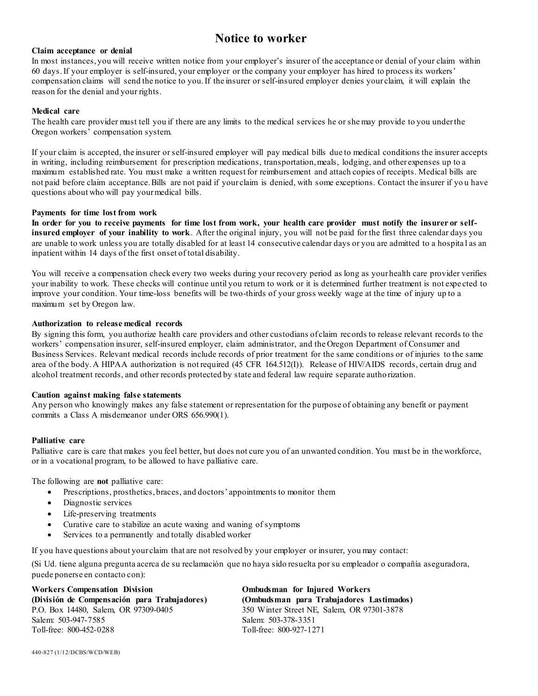# **Notice to worker**

#### **Claim acceptance or denial**

In most instances, you will receive written notice from your employer's insurer of the acceptance or denial of your claim within 60 days.If your employer is self-insured, your employer or the company your employer has hired to process its workers' compensation claims will send the notice to you. If the insurer or self-insured employer denies your claim, it will explain the reason for the denial and your rights.

#### **Medical care**

The health care provider must tell you if there are any limits to the medical services he or she may provide to you under the Oregon workers' compensation system.

If your claim is accepted, the insurer or self-insured employer will pay medical bills due to medical conditions the insurer accepts in writing, including reimbursement for prescription medications, transportation, meals, lodging, and other expenses up to a maximum established rate. You must make a written request for reimbursement and attach copies of receipts. Medical bills are not paid before claim acceptance. Bills are not paid if your claim is denied, with some exceptions. Contact the insurer if yo u have questions about who will pay your medical bills.

#### **Payments for time lost from work**

**In order for you to receive payments for time lost from work, your health care provider must notify the insurer or selfinsured employer of your inability to work**. After the original injury, you will not be paid for the first three calendar days you are unable to work unless you are totally disabled for at least 14 consecutive calendar days or you are admitted to a hospita l as an inpatient within 14 days of the first onset of total disability.

You will receive a compensation check every two weeks during your recovery period as long as your health care provider verifies your inability to work. These checks will continue until you return to work or it is determined further treatment is not expe cted to improve your condition. Your time-loss benefits will be two-thirds of your gross weekly wage at the time of injury up to a maximum set by Oregon law.

#### **Authorization to release medical records**

By signing this form, you authorize health care providers and other custodians of claim records to release relevant records to the workers' compensation insurer, self-insured employer, claim administrator, and the Oregon Department of Consumer and Business Services. Relevant medical records include records of prior treatment for the same conditions or of injuries to the same area of the body. A HIPAA authorization is not required (45 CFR 164.512(I)). Release of HIV/AIDS records, certain drug and alcohol treatment records, and other records protected by state and federal law require separate autho rization.

#### **Caution against making false statements**

Any person who knowingly makes any false statement or representation for the purpose of obtaining any benefit or payment commits a Class A misdemeanor under ORS 656.990(1).

#### **Palliative care**

Palliative care is care that makes you feel better, but does not cure you of an unwanted condition. You must be in the workforce, or in a vocational program, to be allowed to have palliative care.

The following are **not** palliative care:

- Prescriptions, prosthetics, braces, and doctors' appointments to monitor them
- Diagnostic services
- Life-preserving treatments
- Curative care to stabilize an acute waxing and waning of symptoms
- Services to a permanently and totally disabled worker

If you have questions about your claim that are not resolved by your employer or insurer, you may contact:

(Si Ud. tiene alguna pregunta acerca de su reclamación que no haya sido resuelta por su empleador o compañía aseguradora, puede ponerse en contacto con):

**Workers Compensation Division (División de Compensación para Trabajadores)** P.O. Box 14480, Salem, OR 97309-0405 Salem: 503-947-7585 Toll-free: 800-452-0288

**Ombudsman for Injured Workers (Ombudsman para Trabajadores Lastimados)** 350 Winter Street NE, Salem, OR 97301-3878 Salem: 503-378-3351 Toll-free: 800-927-1271